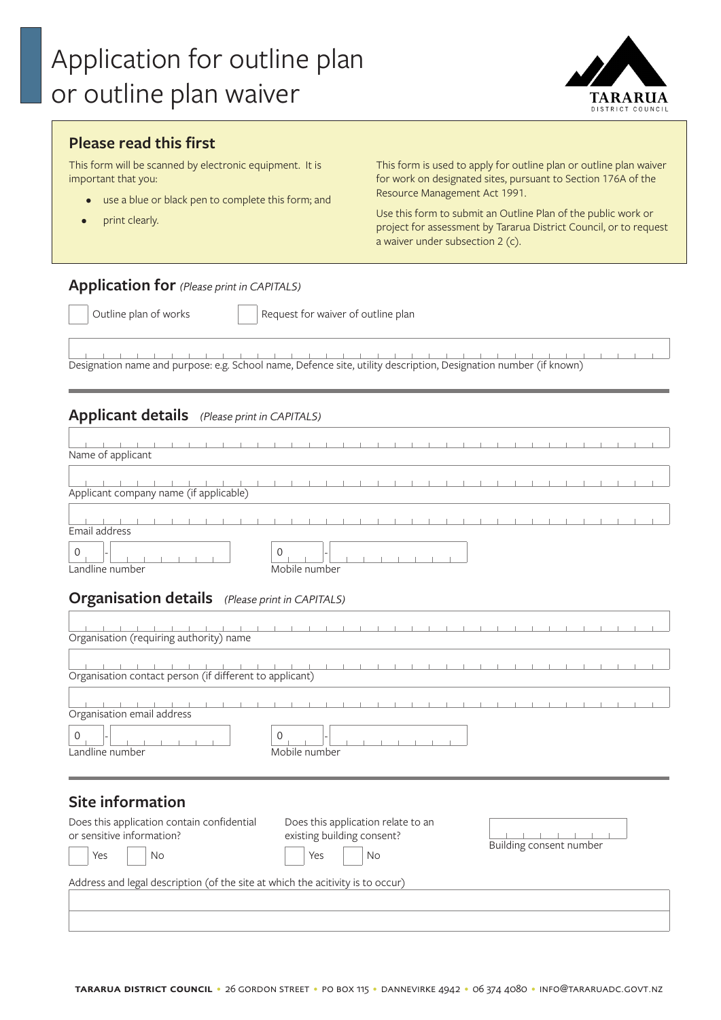

# **Please read this first**

This form will be scanned by electronic equipment. It is important that you:

- use a blue or black pen to complete this form; and
- print clearly.

This form is used to apply for outline plan or outline plan waiver for work on designated sites, pursuant to Section 176A of the Resource Management Act 1991.

Use this form to submit an Outline Plan of the public work or project for assessment by Tararua District Council, or to request a waiver under subsection 2 (c).

### **Application for** *(Please print in CAPITALS)*

Outline plan of works **Request for waiver of outline plan** 

 $\mathbb{R}$  $\pm$ Designation name and purpose: e.g. School name, Defence site, utility description, Designation number (if known)

### **Applicant details** *(Please print in CAPITALS)*

| Name of applicant                                       |                              |  |  |  |  |  |  |  |  |  |  |  |  |  |
|---------------------------------------------------------|------------------------------|--|--|--|--|--|--|--|--|--|--|--|--|--|
| Applicant company name (if applicable)                  |                              |  |  |  |  |  |  |  |  |  |  |  |  |  |
| Email address                                           |                              |  |  |  |  |  |  |  |  |  |  |  |  |  |
| $\mathbf 0$<br>Landline number                          | 0<br>Mobile number           |  |  |  |  |  |  |  |  |  |  |  |  |  |
| <b>Organisation details</b> (Please print in CAPITALS)  |                              |  |  |  |  |  |  |  |  |  |  |  |  |  |
| Organisation (requiring authority) name                 |                              |  |  |  |  |  |  |  |  |  |  |  |  |  |
| Organisation contact person (if different to applicant) |                              |  |  |  |  |  |  |  |  |  |  |  |  |  |
| Organisation email address                              |                              |  |  |  |  |  |  |  |  |  |  |  |  |  |
| $\Omega$<br>Landline number                             | $\mathbf 0$<br>Mobile number |  |  |  |  |  |  |  |  |  |  |  |  |  |
| Site information                                        |                              |  |  |  |  |  |  |  |  |  |  |  |  |  |

#### **Site information**

| Does this application contain confidential<br>or sensitive information?        | Does this application relate to an<br>existing building consent? |                         |  |  |  |  |  |
|--------------------------------------------------------------------------------|------------------------------------------------------------------|-------------------------|--|--|--|--|--|
| Yes<br>No                                                                      | Yes<br>No                                                        | Building consent number |  |  |  |  |  |
| Address and legal description (of the site at which the acitivity is to occur) |                                                                  |                         |  |  |  |  |  |
|                                                                                |                                                                  |                         |  |  |  |  |  |